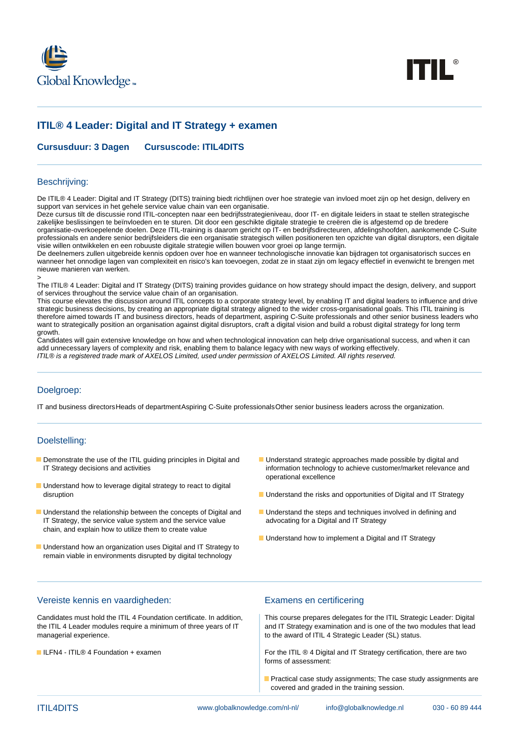



# **ITIL® 4 Leader: Digital and IT Strategy + examen**

**Cursusduur: 3 Dagen Cursuscode: ITIL4DITS**

#### Beschrijving:

De ITIL® 4 Leader: Digital and IT Strategy (DITS) training biedt richtlijnen over hoe strategie van invloed moet zijn op het design, delivery en support van services in het gehele service value chain van een organisatie.

Deze cursus tilt de discussie rond ITIL-concepten naar een bedrijfsstrategieniveau, door IT- en digitale leiders in staat te stellen strategische zakelijke beslissingen te beïnvloeden en te sturen. Dit door een geschikte digitale strategie te creëren die is afgestemd op de bredere organisatie-overkoepelende doelen. Deze ITIL-training is daarom gericht op IT- en bedrijfsdirecteuren, afdelingshoofden, aankomende C-Suite professionals en andere senior bedrijfsleiders die een organisatie strategisch willen positioneren ten opzichte van digital disruptors, een digitale visie willen ontwikkelen en een robuuste digitale strategie willen bouwen voor groei op lange termijn.

De deelnemers zullen uitgebreide kennis opdoen over hoe en wanneer technologische innovatie kan bijdragen tot organisatorisch succes en wanneer het onnodige lagen van complexiteit en risico's kan toevoegen, zodat ze in staat zijn om legacy effectief in evenwicht te brengen met nieuwe manieren van werken.

The ITIL® 4 Leader: Digital and IT Strategy (DITS) training provides guidance on how strategy should impact the design, delivery, and support of services throughout the service value chain of an organisation.

This course elevates the discussion around ITIL concepts to a corporate strategy level, by enabling IT and digital leaders to influence and drive strategic business decisions, by creating an appropriate digital strategy aligned to the wider cross-organisational goals. This ITIL training is therefore aimed towards IT and business directors, heads of department, aspiring C-Suite professionals and other senior business leaders who want to strategically position an organisation against digital disruptors, craft a digital vision and build a robust digital strategy for long term growth.

Candidates will gain extensive knowledge on how and when technological innovation can help drive organisational success, and when it can add unnecessary layers of complexity and risk, enabling them to balance legacy with new ways of working effectively. ITIL® is a registered trade mark of AXELOS Limited, used under permission of AXELOS Limited. All rights reserved.

### Doelgroep:

>

IT and business directorsHeads of departmentAspiring C-Suite professionalsOther senior business leaders across the organization.

#### Doelstelling:

- 
- **Understand how to leverage digital strategy to react to digital**
- Understand the relationship between the concepts of Digital and<br>
IT Strategy, the service value system and the service value<br>
advocating for a Digital and IT Strategy IT Strategy, the service value system and the service value chain, and explain how to utilize them to create value
- **Understand how an organization uses Digital and IT Strategy to** remain viable in environments disrupted by digital technology
- Demonstrate the use of the ITIL guiding principles in Digital and Understand strategic approaches made possible by digital and IT Strategy decisions and activities information technology to achieve customer/market relevance and operational excellence
	- disruption disruption Understand the risks and opportunities of Digital and IT Strategy
		-
		- **Understand how to implement a Digital and IT Strategy**

#### Vereiste kennis en vaardigheden: Examens en certificering

Candidates must hold the ITIL 4 Foundation certificate. In addition, | This course prepares delegates for the ITIL Strategic Leader: Digital

the ITIL 4 Leader modules require a minimum of three years of IT and IT Strategy examination and is one of the two modules that lead<br>to the award of ITIL 4 Strategic Leader (SL) status. to the award of ITIL 4 Strategic Leader (SL) status.

■ ILFN4 - ITIL® 4 Foundation + examen For the ITIL ® 4 Digital and IT Strategy certification, there are two forms of assessment:

> **Practical case study assignments; The case study assignments are** covered and graded in the training session.